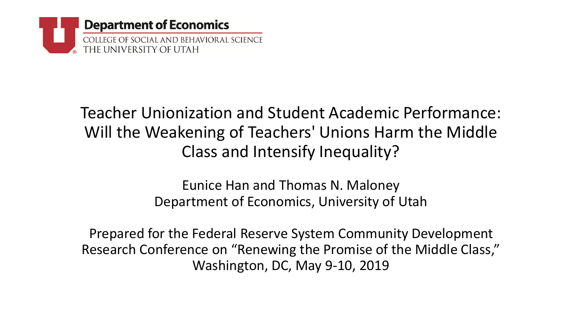

#### Teacher Unionization and Student Academic Performance: Will the Weakening of Teachers' Unions Harm the Middle Class and Intensify Inequality?

Eunice Han and Thomas N. Maloney Department of Economics, University of Utah

Prepared for the Federal Reserve System Community Development Research Conference on "Renewing the Promise of the Middle Class," Washington, DC, May 9-10, 2019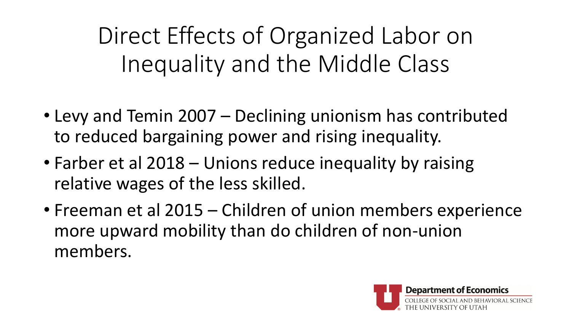Direct Effects of Organized Labor on Inequality and the Middle Class

- Levy and Temin 2007 Declining unionism has contributed to reduced bargaining power and rising inequality.
- Farber et al 2018 Unions reduce inequality by raising relative wages of the less skilled.
- Freeman et al 2015 Children of union members experience more upward mobility than do children of non-union members.

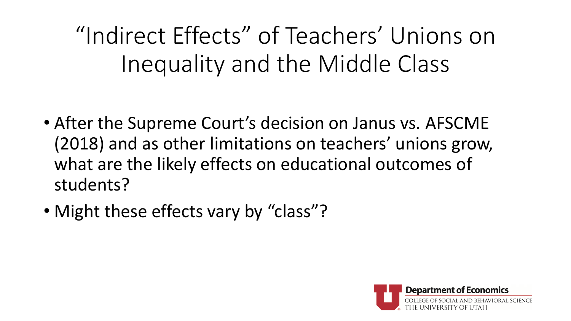"Indirect Effects" of Teachers' Unions on Inequality and the Middle Class

- After the Supreme Court's decision on Janus vs. AFSCME (2018) and as other limitations on teachers' unions grow, what are the likely effects on educational outcomes of students?
- Might these effects vary by "class"?

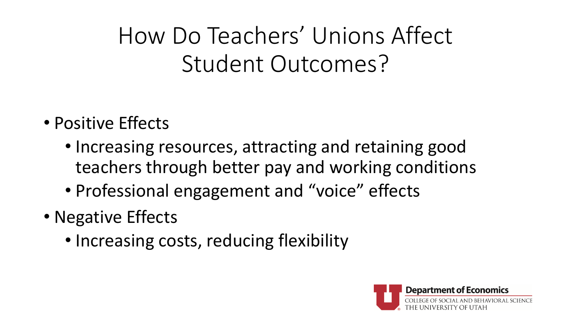How Do Teachers' Unions Affect Student Outcomes?

- Positive Effects
	- Increasing resources, attracting and retaining good teachers through better pay and working conditions
	- Professional engagement and "voice" effects
- Negative Effects
	- Increasing costs, reducing flexibility

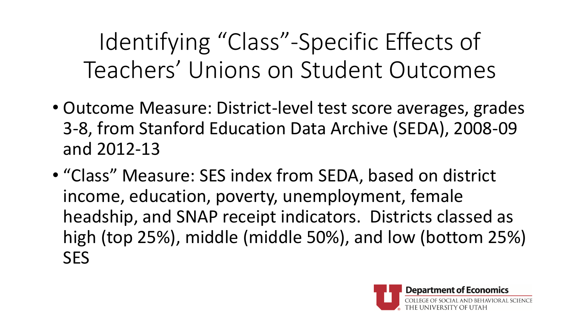Identifying "Class"-Specific Effects of Teachers' Unions on Student Outcomes

- Outcome Measure: District-level test score averages, grades 3-8, from Stanford Education Data Archive (SEDA), 2008-09 and 2012-13
- "Class" Measure: SES index from SEDA, based on district income, education, poverty, unemployment, female headship, and SNAP receipt indicators. Districts classed as high (top 25%), middle (middle 50%), and low (bottom 25%) **SES**

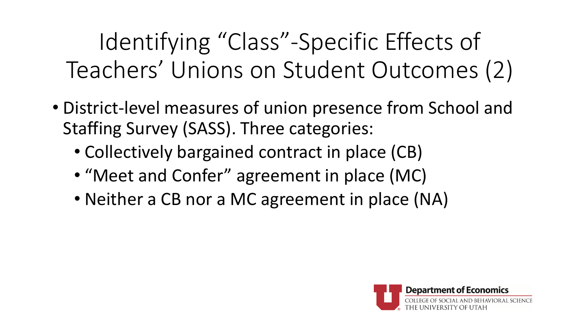Identifying "Class"-Specific Effects of Teachers' Unions on Student Outcomes (2)

- District-level measures of union presence from School and Staffing Survey (SASS). Three categories:
	- Collectively bargained contract in place (CB)
	- "Meet and Confer" agreement in place (MC)
	- Neither a CB nor a MC agreement in place (NA)

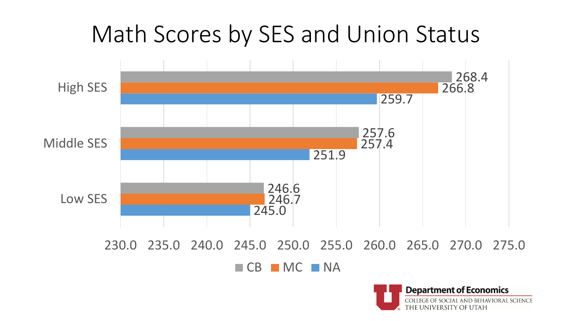

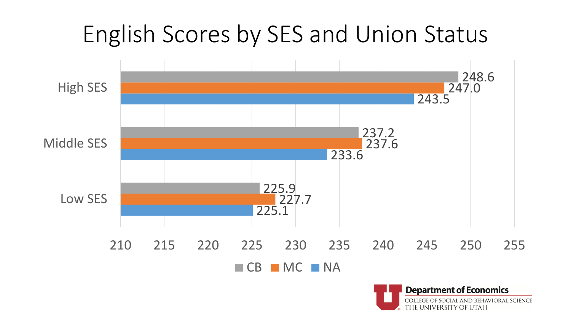

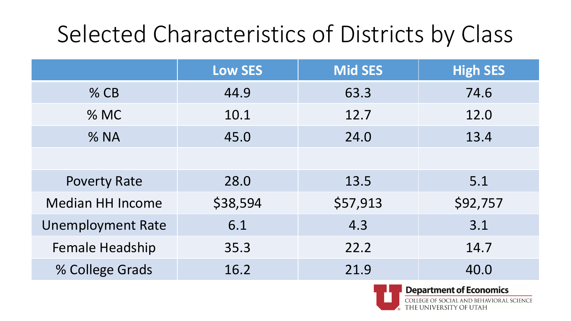#### Selected Characteristics of Districts by Class

|                          | <b>Low SES</b> | <b>Mid SES</b> | <b>High SES</b> |
|--------------------------|----------------|----------------|-----------------|
| $%$ CB                   | 44.9           | 63.3           | 74.6            |
| % MC                     | 10.1           | 12.7           | 12.0            |
| % NA                     | 45.0           | 24.0           | 13.4            |
|                          |                |                |                 |
| <b>Poverty Rate</b>      | 28.0           | 13.5           | 5.1             |
| <b>Median HH Income</b>  | \$38,594       | \$57,913       | \$92,757        |
| <b>Unemployment Rate</b> | 6.1            | 4.3            | 3.1             |
| <b>Female Headship</b>   | 35.3           | 22.2           | 14.7            |
| % College Grads          | 16.2           | 21.9           | 40.0            |



**Department of Economics** 

OCIAL AND BEHAVIORAL SCIENCE THE UNIVERSITY OF UTAH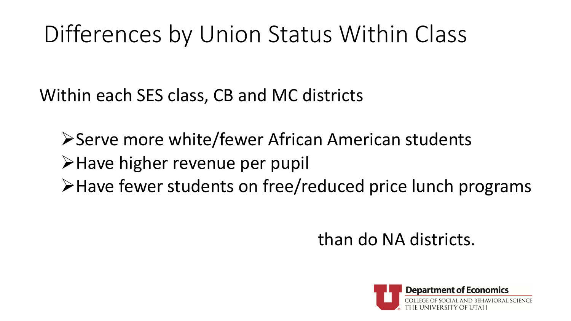# Differences by Union Status Within Class

Within each SES class, CB and MC districts

**≻Serve more white/fewer African American students** >Have higher revenue per pupil Have fewer students on free/reduced price lunch programs

than do NA districts.

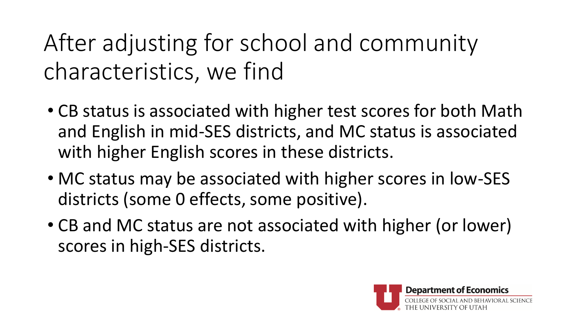After adjusting for school and community characteristics, we find

- CB status is associated with higher test scores for both Math and English in mid-SES districts, and MC status is associated with higher English scores in these districts.
- MC status may be associated with higher scores in low-SES districts (some 0 effects, some positive).
- CB and MC status are not associated with higher (or lower) scores in high-SES districts.

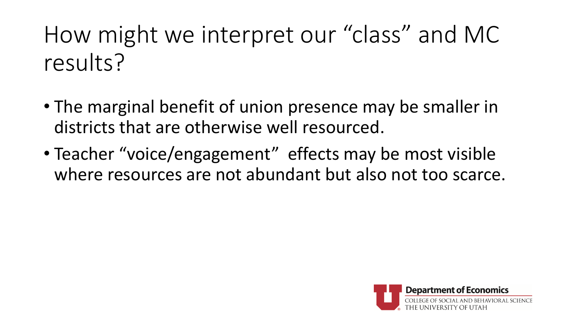# How might we interpret our "class" and MC results?

- The marginal benefit of union presence may be smaller in districts that are otherwise well resourced.
- Teacher "voice/engagement" effects may be most visible where resources are not abundant but also not too scarce.